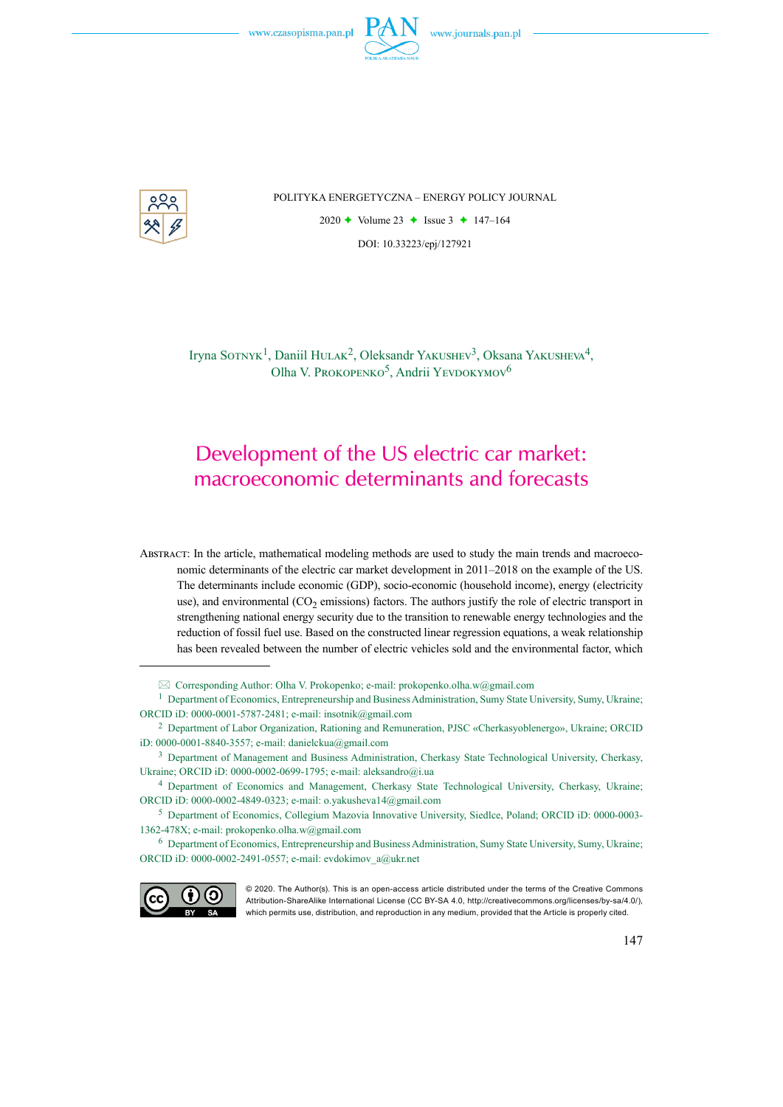

POLITYKA ENERGETYCZNA – ENERGY POLICY JOURNAL

2020  $\rightarrow$  Volume 23  $\rightarrow$  Issue 3  $\rightarrow$  147–164 DOI: 10.33223/epj/127921

Iryna SOTNYK<sup>1</sup>, Daniil HULAK<sup>2</sup>, Oleksandr YAKUSHEV<sup>3</sup>, Oksana YAKUSHEVA<sup>4</sup>, Olha V. PROKOPENKO<sup>5</sup>, Andrii YEVDOKYMOV<sup>6</sup>

# Development of the US electric car market: macroeconomic determinants and forecasts

Abstract: In the article, mathematical modeling methods are used to study the main trends and macroeconomic determinants of the electric car market development in 2011–2018 on the example of the US. The determinants include economic (GDP), socio-economic (household income), energy (electricity use), and environmental  $(CO<sub>2</sub>$  emissions) factors. The authors justify the role of electric transport in strengthening national energy security due to the transition to renewable energy technologies and the reduction of fossil fuel use. Based on the constructed linear regression equations, a weak relationship has been revealed between the number of electric vehicles sold and the environmental factor, which

<sup>6</sup> Department of Economics, Entrepreneurship and Business Administration, Sumy State University, Sumy, Ukraine; ORCID iD: 0000-0002-2491-0557; e-mail: [evdokimov\\_a@ukr.net](mailto:evdokimov_a@ukr.net)



<sup>© 2020.</sup> The Author(s). This is an open-access article distributed under the terms of the Creative Commons Attribution-ShareAlike International License (CC BY-SA 4.0, http://creativecommons.org/licenses/by-sa/4.0/), which permits use, distribution, and reproduction in any medium, provided that the Article is properly cited.

 $\boxtimes$  Corresponding Author: Olha V. Prokopenko; e-mail: [prokopenko.olha.w@gmail.com](mailto:prokopenko.olha.w@gmail.com)

<sup>1</sup> Department of Economics, Entrepreneurship and Business Administration, Sumy State University, Sumy, Ukraine; ORCID iD: 0000-0001-5787-2481; e-mail: [insotnik@gmail.com](mailto:insotnik@gmail.com)

<sup>2</sup> Department of Labor Organization, Rationing and Remuneration, PJSC «Cherkasyoblenergo», Ukraine; ORCID iD: 0000-0001-8840-3557; e-mail: [danielckua@gmail.com](mailto:danielckua@gmail.com)

<sup>3</sup> Department of Management and Business Administration, Cherkasy State Technological University, Cherkasy, Ukraine; ORCID iD: 0000-0002-0699-1795; e-mail: [aleksandro@i.ua](mailto:aleksandro@i.ua)

<sup>4</sup> Department of Economics and Management, Cherkasy State Technological University, Cherkasy, Ukraine; ORCID iD: 0000-0002-4849-0323; e-mail: [o.yakusheva14@gmail.com](mailto:o.yakusheva14@gmail.com)

<sup>5</sup> Department of Economics, Collegium Mazovia Innovative University, Siedlce, Poland; ORCID iD: 0000-0003- 1362-478X; e-mail: [prokopenko.olha.w@gmail.com](mailto:prokopenko.olha.w@gmail.com)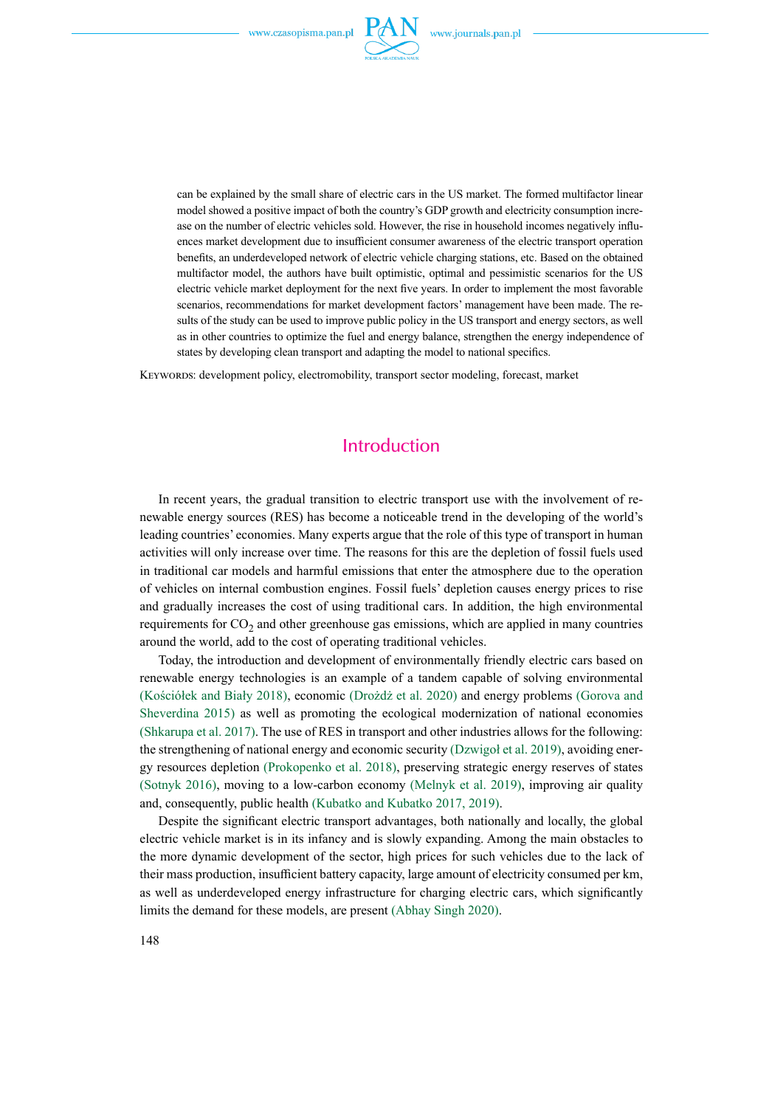

can be explained by the small share of electric cars in the US market. The formed multifactor linear model showed a positive impact of both the country's GDP growth and electricity consumption increase on the number of electric vehicles sold. However, the rise in household incomes negatively influences market development due to insufficient consumer awareness of the electric transport operation benefits, an underdeveloped network of electric vehicle charging stations, etc. Based on the obtained multifactor model, the authors have built optimistic, optimal and pessimistic scenarios for the US electric vehicle market deployment for the next five years. In order to implement the most favorable scenarios, recommendations for market development factors' management have been made. The results of the study can be used to improve public policy in the US transport and energy sectors, as well as in other countries to optimize the fuel and energy balance, strengthen the energy independence of states by developing clean transport and adapting the model to national specifics.

Keywords: development policy, electromobility, transport sector modeling, forecast, market

## Introduction

In recent years, the gradual transition to electric transport use with the involvement of renewable energy sources (RES) has become a noticeable trend in the developing of the world's leading countries' economies. Many experts argue that the role of this type of transport in human activities will only increase over time. The reasons for this are the depletion of fossil fuels used in traditional car models and harmful emissions that enter the atmosphere due to the operation of vehicles on internal combustion engines. Fossil fuels' depletion causes energy prices to rise and gradually increases the cost of using traditional cars. In addition, the high environmental requirements for  $CO_2$  and other greenhouse gas emissions, which are applied in many countries around the world, add to the cost of operating traditional vehicles.

Today, the introduction and development of environmentally friendly electric cars based on renewable energy technologies is an example of a tandem capable of solving environmental (Kościółek and Biały 2018), economic (Drożdż et al. 2020) and energy problems (Gorova and Sheverdina 2015) as well as promoting the ecological modernization of national economies (Shkarupa et al. 2017). The use of RES in transport and other industries allows for the following: the strengthening of national energy and economic security (Dzwigoł et al. 2019), avoiding energy resources depletion (Prokopenko et al. 2018), preserving strategic energy reserves of states (Sotnyk 2016), moving to a low-carbon economy (Melnyk et al. 2019), improving air quality and, consequently, public health (Kubatko and Kubatko 2017, 2019).

Despite the significant electric transport advantages, both nationally and locally, the global electric vehicle market is in its infancy and is slowly expanding. Among the main obstacles to the more dynamic development of the sector, high prices for such vehicles due to the lack of their mass production, insufficient battery capacity, large amount of electricity consumed per km, as well as underdeveloped energy infrastructure for charging electric cars, which significantly limits the demand for these models, are present (Abhay Singh 2020).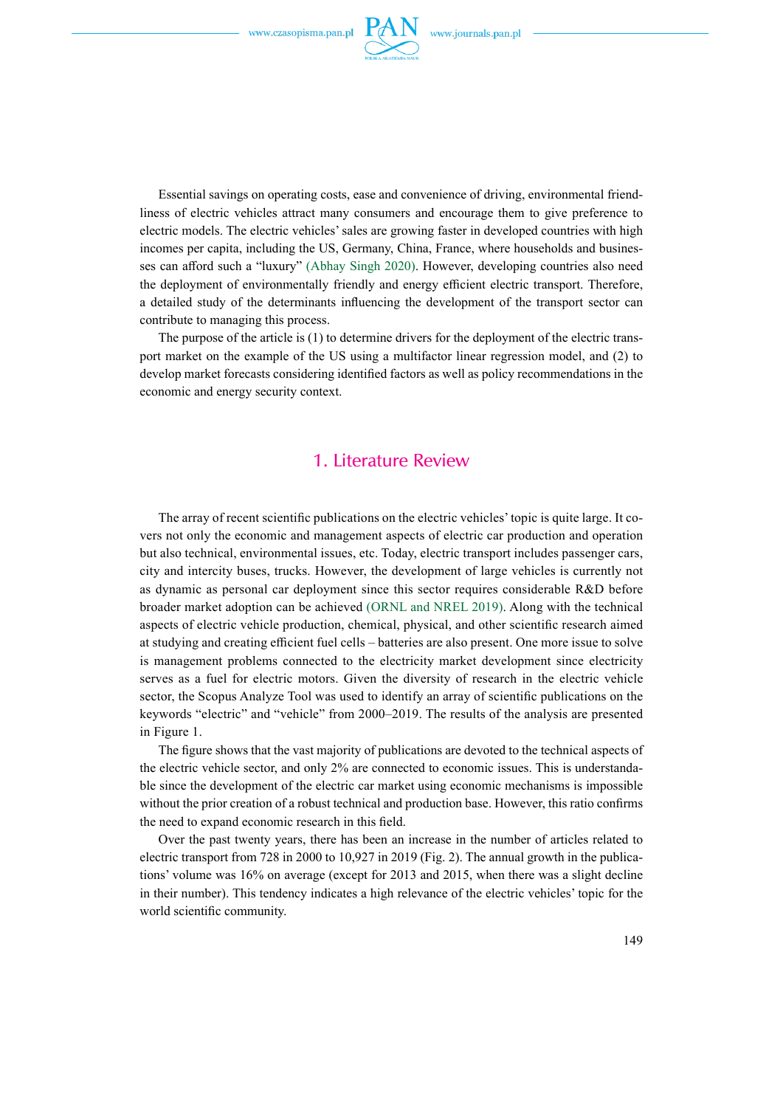

Essential savings on operating costs, ease and convenience of driving, environmental friendliness of electric vehicles attract many consumers and encourage them to give preference to electric models. The electric vehicles' sales are growing faster in developed countries with high incomes per capita, including the US, Germany, China, France, where households and businesses can afford such a "luxury" (Abhay Singh 2020). However, developing countries also need the deployment of environmentally friendly and energy efficient electric transport. Therefore, a detailed study of the determinants influencing the development of the transport sector can contribute to managing this process.

The purpose of the article is (1) to determine drivers for the deployment of the electric transport market on the example of the US using a multifactor linear regression model, and (2) to develop market forecasts considering identified factors as well as policy recommendations in the economic and energy security context.

## 1. Literature Review

The array of recent scientific publications on the electric vehicles' topic is quite large. It covers not only the economic and management aspects of electric car production and operation but also technical, environmental issues, etc. Today, electric transport includes passenger cars, city and intercity buses, trucks. However, the development of large vehicles is currently not as dynamic as personal car deployment since this sector requires considerable R&D before broader market adoption can be achieved (ORNL and NREL 2019). Along with the technical aspects of electric vehicle production, chemical, physical, and other scientific research aimed at studying and creating efficient fuel cells – batteries are also present. One more issue to solve is management problems connected to the electricity market development since electricity serves as a fuel for electric motors. Given the diversity of research in the electric vehicle sector, the Scopus Analyze Tool was used to identify an array of scientific publications on the keywords "electric" and "vehicle" from 2000–2019. The results of the analysis are presented in Figure 1.

The figure shows that the vast majority of publications are devoted to the technical aspects of the electric vehicle sector, and only 2% are connected to economic issues. This is understandable since the development of the electric car market using economic mechanisms is impossible without the prior creation of a robust technical and production base. However, this ratio confirms the need to expand economic research in this field.

Over the past twenty years, there has been an increase in the number of articles related to electric transport from 728 in 2000 to 10,927 in 2019 (Fig. 2). The annual growth in the publications' volume was 16% on average (except for 2013 and 2015, when there was a slight decline in their number). This tendency indicates a high relevance of the electric vehicles' topic for the world scientific community.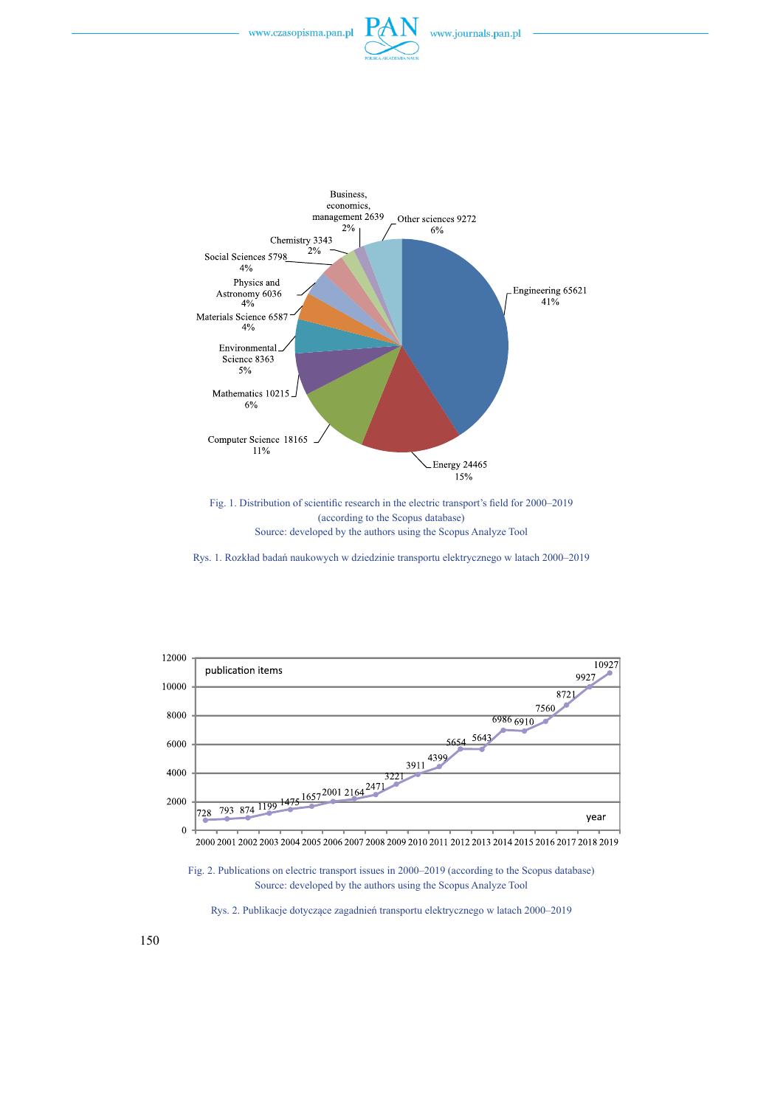



Fig. 1. Distribution of scientific research in the electric transport's field for 2000–2019 (according to the Scopus database) Source: developed by the authors using the Scopus Analyze Tool

Rys. 1. Rozkład badań naukowych w dziedzinie transportu elektrycznego w latach 2000–2019



2000 2001 2002 2003 2004 2005 2006 2007 2008 2009 2010 2011 2012 2013 2014 2015 2016 2017 2018 2019

Fig. 2. Publications on electric transport issues in 2000–2019 (according to the Scopus database) Source: developed by the authors using the Scopus Analyze Tool



150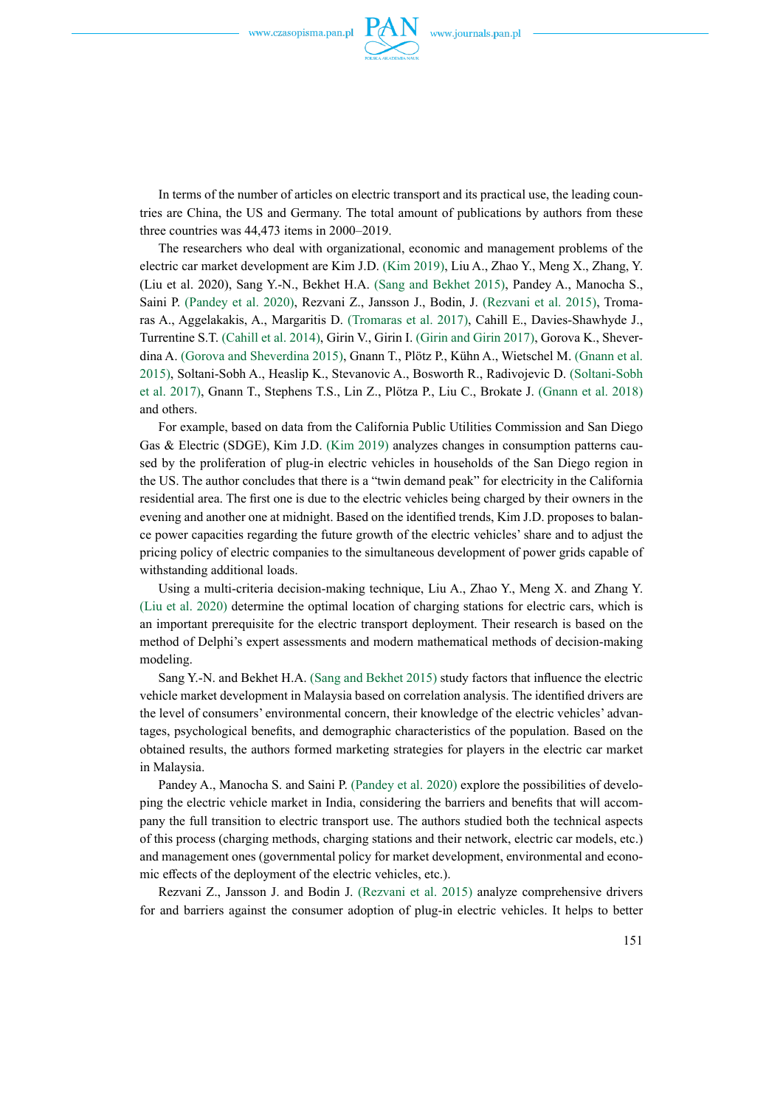

In terms of the number of articles on electric transport and its practical use, the leading countries are China, the US and Germany. The total amount of publications by authors from these three countries was 44,473 items in 2000–2019.

The researchers who deal with organizational, economic and management problems of the electric car market development are Kim J.D. (Kim 2019), Liu A., Zhao Y., Meng X., Zhang, Y. (Liu et al. 2020), Sang Y.-N., Bekhet H.A. (Sang and Bekhet 2015), Pandey A., Manocha S., Saini P. (Pandey et al. 2020), Rezvani Z., Jansson J., Bodin, J. (Rezvani et al. 2015), Tromaras A., Aggelakakis, A., Margaritis D. (Tromaras et al. 2017), Cahill E., Davies-Shawhyde J., Turrentine S.T. (Cahill et al. 2014), Girin V., Girin I. (Girin and Girin 2017), Gorova K., Sheverdina A. (Gorova and Sheverdina 2015), Gnann T., Plötz P., Kühn A., Wietschel M. (Gnann et al. 2015), Soltani-Sobh A., Heaslip K., Stevanovic A., Bosworth R., Radivojevic D. (Soltani-Sobh et al. 2017), Gnann T., Stephens T.S., Lin Z., Plötza P., Liu C., Brokate J. (Gnann et al. 2018) and others.

For example, based on data from the California Public Utilities Commission and San Diego Gas & Electric (SDGE), Kim J.D. (Kim 2019) analyzes changes in consumption patterns caused by the proliferation of plug-in electric vehicles in households of the San Diego region in the US. The author concludes that there is a "twin demand peak" for electricity in the California residential area. The first one is due to the electric vehicles being charged by their owners in the evening and another one at midnight. Based on the identified trends, Kim J.D. proposes to balance power capacities regarding the future growth of the electric vehicles' share and to adjust the pricing policy of electric companies to the simultaneous development of power grids capable of withstanding additional loads.

Using a multi-criteria decision-making technique, Liu A., Zhao Y., Meng X. and Zhang Y. (Liu et al. 2020) determine the optimal location of charging stations for electric cars, which is an important prerequisite for the electric transport deployment. Their research is based on the method of Delphi's expert assessments and modern mathematical methods of decision-making modeling.

Sang Y.-N. and Bekhet H.A. (Sang and Bekhet 2015) study factors that influence the electric vehicle market development in Malaysia based on correlation analysis. The identified drivers are the level of consumers' environmental concern, their knowledge of the electric vehicles' advantages, psychological benefits, and demographic characteristics of the population. Based on the obtained results, the authors formed marketing strategies for players in the electric car market in Malaysia.

Pandey A., Manocha S. and Saini P. (Pandey et al. 2020) explore the possibilities of developing the electric vehicle market in India, considering the barriers and benefits that will accompany the full transition to electric transport use. The authors studied both the technical aspects of this process (charging methods, charging stations and their network, electric car models, etc.) and management ones (governmental policy for market development, environmental and economic effects of the deployment of the electric vehicles, etc.).

Rezvani Z., Jansson J. and Bodin J. (Rezvani et al. 2015) analyze comprehensive drivers for and barriers against the consumer adoption of plug-in electric vehicles. It helps to better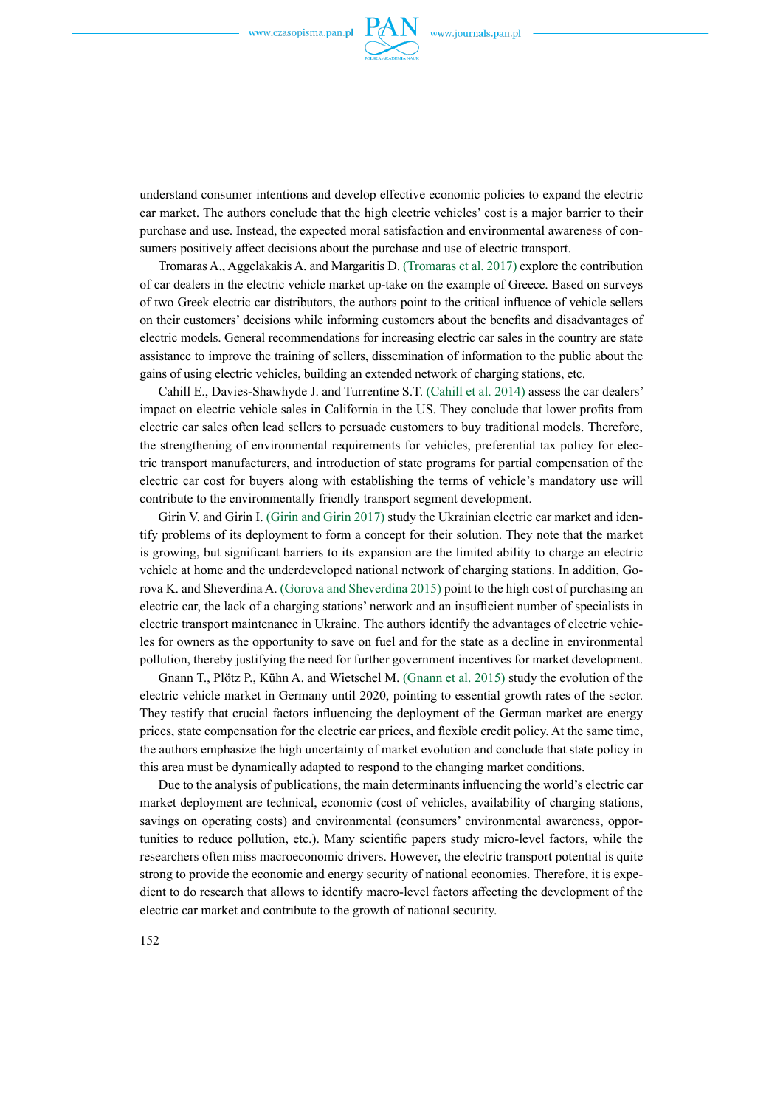

understand consumer intentions and develop effective economic policies to expand the electric car market. The authors conclude that the high electric vehicles' cost is a major barrier to their purchase and use. Instead, the expected moral satisfaction and environmental awareness of consumers positively affect decisions about the purchase and use of electric transport.

Tromaras A., Aggelakakis A. and Margaritis D. (Tromaras et al. 2017) explore the contribution of car dealers in the electric vehicle market up-take on the example of Greece. Based on surveys of two Greek electric car distributors, the authors point to the critical influence of vehicle sellers on their customers' decisions while informing customers about the benefits and disadvantages of electric models. General recommendations for increasing electric car sales in the country are state assistance to improve the training of sellers, dissemination of information to the public about the gains of using electric vehicles, building an extended network of charging stations, etc.

Cahill E., Davies-Shawhyde J. and Turrentine S.T. (Cahill et al. 2014) assess the car dealers' impact on electric vehicle sales in California in the US. They conclude that lower profits from electric car sales often lead sellers to persuade customers to buy traditional models. Therefore, the strengthening of environmental requirements for vehicles, preferential tax policy for electric transport manufacturers, and introduction of state programs for partial compensation of the electric car cost for buyers along with establishing the terms of vehicle's mandatory use will contribute to the environmentally friendly transport segment development.

Girin V. and Girin I. (Girin and Girin 2017) study the Ukrainian electric car market and identify problems of its deployment to form a concept for their solution. They note that the market is growing, but significant barriers to its expansion are the limited ability to charge an electric vehicle at home and the underdeveloped national network of charging stations. In addition, Gorova K. and Sheverdina A. (Gorova and Sheverdina 2015) point to the high cost of purchasing an electric car, the lack of a charging stations' network and an insufficient number of specialists in electric transport maintenance in Ukraine. The authors identify the advantages of electric vehicles for owners as the opportunity to save on fuel and for the state as a decline in environmental pollution, thereby justifying the need for further government incentives for market development.

Gnann T., Plötz P., Kühn A. and Wietschel M. (Gnann et al. 2015) study the evolution of the electric vehicle market in Germany until 2020, pointing to essential growth rates of the sector. They testify that crucial factors influencing the deployment of the German market are energy prices, state compensation for the electric car prices, and flexible credit policy. At the same time, the authors emphasize the high uncertainty of market evolution and conclude that state policy in this area must be dynamically adapted to respond to the changing market conditions.

Due to the analysis of publications, the main determinants influencing the world's electric car market deployment are technical, economic (cost of vehicles, availability of charging stations, savings on operating costs) and environmental (consumers' environmental awareness, opportunities to reduce pollution, etc.). Many scientific papers study micro-level factors, while the researchers often miss macroeconomic drivers. However, the electric transport potential is quite strong to provide the economic and energy security of national economies. Therefore, it is expedient to do research that allows to identify macro-level factors affecting the development of the electric car market and contribute to the growth of national security.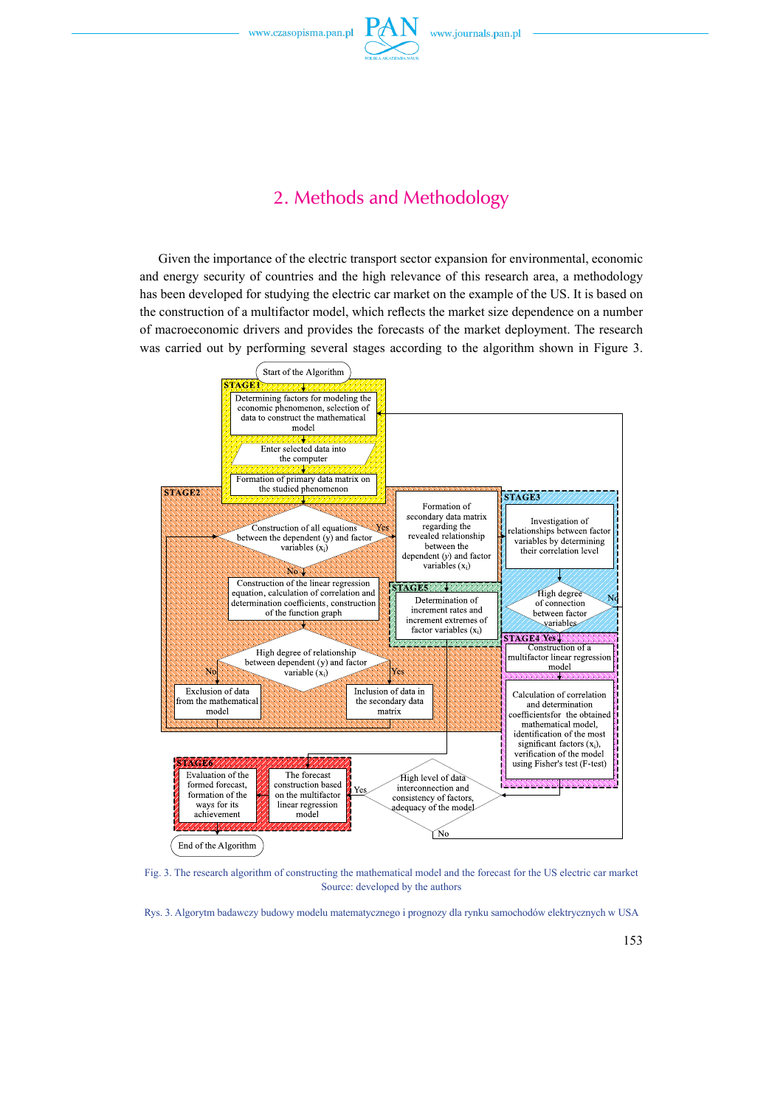

## 2. Methods and Methodology

Given the importance of the electric transport sector expansion for environmental, economic and energy security of countries and the high relevance of this research area, a methodology has been developed for studying the electric car market on the example of the US. It is based on the construction of a multifactor model, which reflects the market size dependence on a number of macroeconomic drivers and provides the forecasts of the market deployment. The research was carried out by performing several stages according to the algorithm shown in Figure 3.



Fig. 3. The research algorithm of constructing the mathematical model and the forecast for the US electric car market Source: developed by the authors

Rys. 3. Algorytm badawczy budowy modelu matematycznego i prognozy dla rynku samochodów elektrycznych w USA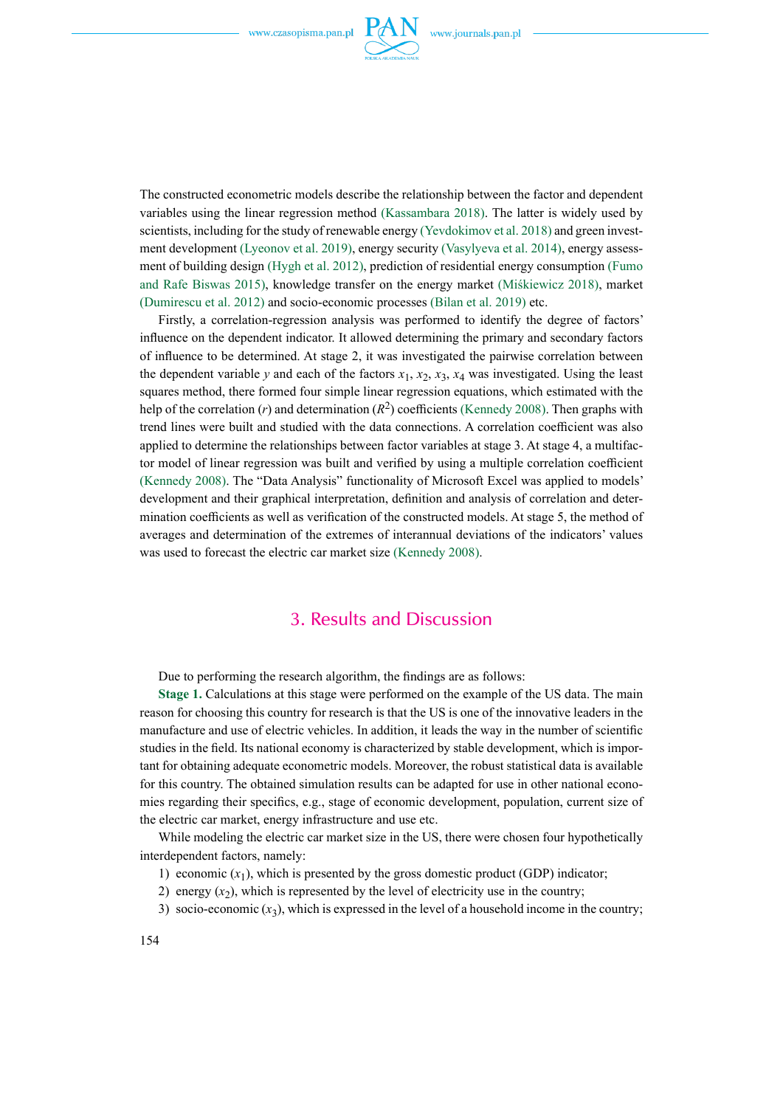

The constructed econometric models describe the relationship between the factor and dependent variables using the linear regression method (Kassambara 2018). The latter is widely used by scientists, including for the study of renewable energy (Yevdokimov et al. 2018) and green investment development (Lyeonov et al. 2019), energy security (Vasylyeva et al. 2014), energy assessment of building design (Hygh et al. 2012), prediction of residential energy consumption (Fumo and Rafe Biswas 2015), knowledge transfer on the energy market (Miśkiewicz 2018), market (Dumirescu et al. 2012) and socio-economic processes (Bilan et al. 2019) etc.

Firstly, a correlation-regression analysis was performed to identify the degree of factors' influence on the dependent indicator. It allowed determining the primary and secondary factors of influence to be determined. At stage 2, it was investigated the pairwise correlation between the dependent variable *y* and each of the factors  $x_1$ ,  $x_2$ ,  $x_3$ ,  $x_4$  was investigated. Using the least squares method, there formed four simple linear regression equations, which estimated with the help of the correlation  $(r)$  and determination  $(R^2)$  coefficients (Kennedy 2008). Then graphs with trend lines were built and studied with the data connections. A correlation coefficient was also applied to determine the relationships between factor variables at stage 3. At stage 4, a multifactor model of linear regression was built and verified by using a multiple correlation coefficient (Kennedy 2008). The "Data Analysis" functionality of Microsoft Excel was applied to models' development and their graphical interpretation, definition and analysis of correlation and determination coefficients as well as verification of the constructed models. At stage 5, the method of averages and determination of the extremes of interannual deviations of the indicators' values was used to forecast the electric car market size (Kennedy 2008).

### 3. Results and Discussion

Due to performing the research algorithm, the findings are as follows:

**Stage 1.** Calculations at this stage were performed on the example of the US data. The main reason for choosing this country for research is that the US is one of the innovative leaders in the manufacture and use of electric vehicles. In addition, it leads the way in the number of scientific studies in the field. Its national economy is characterized by stable development, which is important for obtaining adequate econometric models. Moreover, the robust statistical data is available for this country. The obtained simulation results can be adapted for use in other national economies regarding their specifics, e.g., stage of economic development, population, current size of the electric car market, energy infrastructure and use etc.

While modeling the electric car market size in the US, there were chosen four hypothetically interdependent factors, namely:

- 1) economic  $(x_1)$ , which is presented by the gross domestic product (GDP) indicator;
- 2) energy  $(x_2)$ , which is represented by the level of electricity use in the country;
- 3) socio-economic  $(x_3)$ , which is expressed in the level of a household income in the country;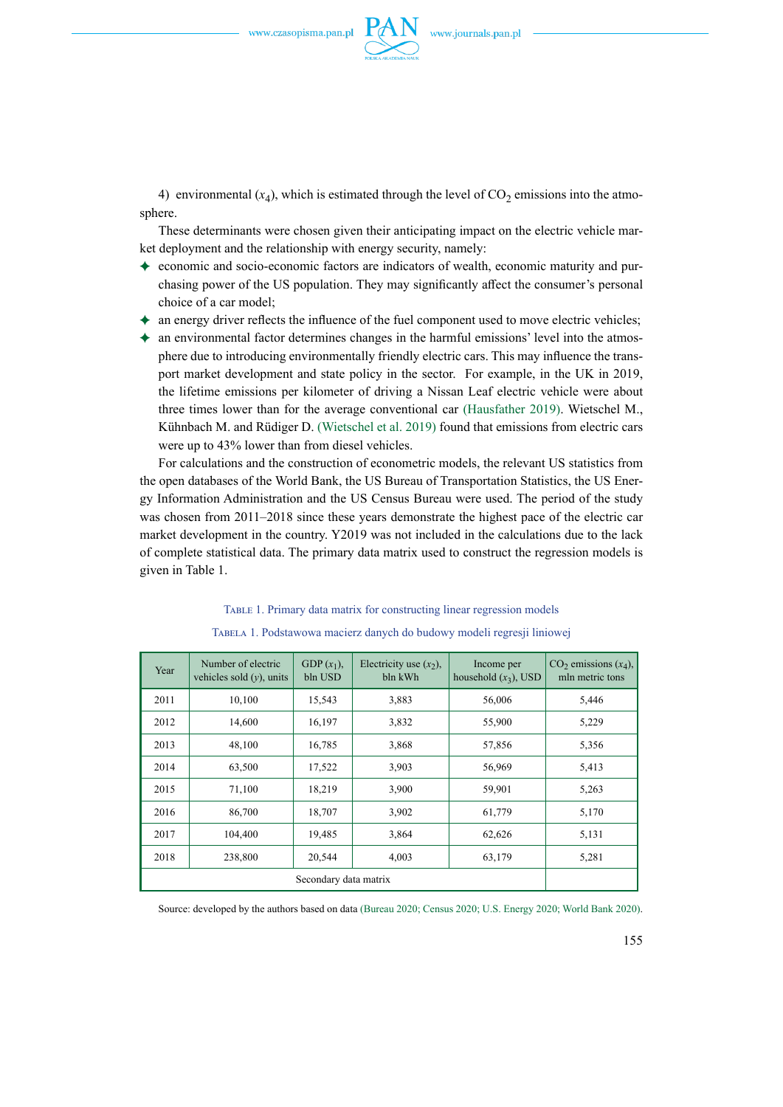

4) environmental  $(x_4)$ , which is estimated through the level of  $CO<sub>2</sub>$  emissions into the atmosphere.

These determinants were chosen given their anticipating impact on the electric vehicle market deployment and the relationship with energy security, namely:

- $\triangle$  economic and socio-economic factors are indicators of wealth, economic maturity and purchasing power of the US population. They may significantly affect the consumer's personal choice of a car model;
- $\triangle$  an energy driver reflects the influence of the fuel component used to move electric vehicles;
- $\triangleq$  an environmental factor determines changes in the harmful emissions' level into the atmosphere due to introducing environmentally friendly electric cars. This may influence the transport market development and state policy in the sector. For example, in the UK in 2019, the lifetime emissions per kilometer of driving a Nissan Leaf electric vehicle were about three times lower than for the average conventional car (Hausfather 2019). Wietschel M., Kühnbach M. and Rüdiger D. (Wietschel et al. 2019) found that emissions from electric cars were up to 43% lower than from diesel vehicles.

For calculations and the construction of econometric models, the relevant US statistics from the open databases of the World Bank, the US Bureau of Transportation Statistics, the US Energy Information Administration and the US Census Bureau were used. The period of the study was chosen from 2011–2018 since these years demonstrate the highest pace of the electric car market development in the country. Y2019 was not included in the calculations due to the lack of complete statistical data. The primary data matrix used to construct the regression models is given in Table 1.

# Table 1. Primary data matrix for constructing linear regression models

| Year | Number of electric<br>vehicles sold $(y)$ , units | GDP $(x_1)$ ,<br>bln USD | Electricity use $(x_2)$ ,<br>bln kWh | Income per<br>household $(x_3)$ , USD | $CO2$ emissions $(x_4)$ ,<br>mln metric tons |
|------|---------------------------------------------------|--------------------------|--------------------------------------|---------------------------------------|----------------------------------------------|
| 2011 | 10,100                                            | 15,543                   | 3,883                                | 56,006                                | 5,446                                        |
| 2012 | 14,600                                            | 16,197                   | 3,832                                | 55,900                                | 5,229                                        |
| 2013 | 48,100                                            | 16,785                   | 3,868                                | 57,856                                | 5,356                                        |
| 2014 | 63,500                                            | 17,522                   | 3,903                                | 56,969                                | 5,413                                        |
| 2015 | 71,100                                            | 18,219                   | 3.900                                | 59,901                                | 5,263                                        |
| 2016 | 86,700                                            | 18,707                   | 3.902                                | 61,779                                | 5,170                                        |
| 2017 | 104,400                                           | 19,485                   | 3,864                                | 62,626                                | 5,131                                        |
| 2018 | 238,800                                           | 20,544                   | 4,003                                | 63,179                                | 5,281                                        |
|      | Secondary data matrix                             |                          |                                      |                                       |                                              |

TABELA 1. Podstawowa macierz danych do budowy modeli regresji liniowej

Source: developed by the authors based on data (Bureau 2020; Census 2020; U.S. Energy 2020; World Bank 2020).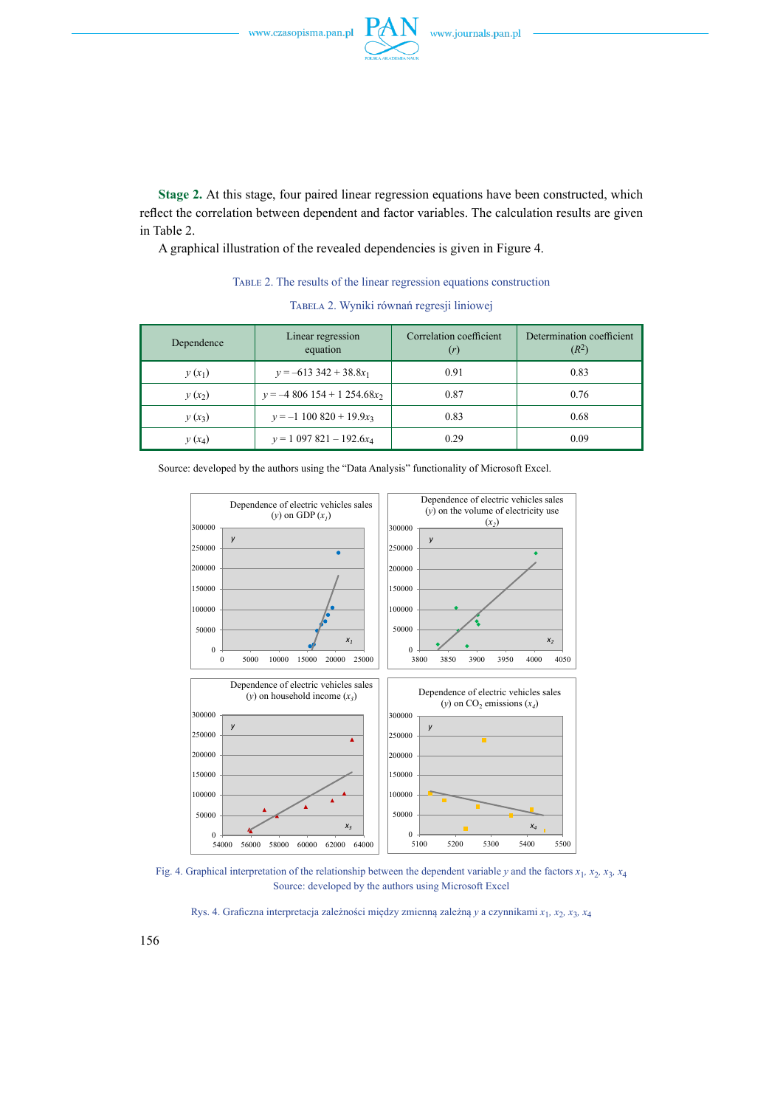

**Stage 2.** At this stage, four paired linear regression equations have been constructed, which reflect the correlation between dependent and factor variables. The calculation results are given in Table 2.

A graphical illustration of the revealed dependencies is given in Figure 4.

Table 2. The results of the linear regression equations construction

| Dependence | Linear regression<br>equation | Correlation coefficient<br>(r) | Determination coefficient<br>$(R^2)$ |
|------------|-------------------------------|--------------------------------|--------------------------------------|
| $y(x_1)$   | $y = -613342 + 38.8x_1$       | 0.91                           | 0.83                                 |
| $y(x_2)$   | $y = -4806154 + 1254.68x_2$   | 0.87                           | 0.76                                 |
| $y(x_3)$   | $y = -1$ 100 820 + 19.9 $x_3$ | 0.83                           | 0.68                                 |
| $y(x_4)$   | $y = 1097821 - 192.6x_4$      | 0.29                           | 0.09                                 |

| TABELA 2. Wyniki równań regresji liniowej |  |  |  |  |  |
|-------------------------------------------|--|--|--|--|--|
|-------------------------------------------|--|--|--|--|--|

Source: developed by the authors using the "Data Analysis" functionality of Microsoft Excel.



Fig. 4. Graphical interpretation of the relationship between the dependent variable *y* and the factors  $x_1$ ,  $x_2$ ,  $x_3$ ,  $x_4$ Source: developed by the authors using Microsoft Excel

Rys. 4. Graficzna interpretacja zależności między zmienną zależną *y* a czynnikami *x*1*, x*2*, x*3*, x*<sup>4</sup>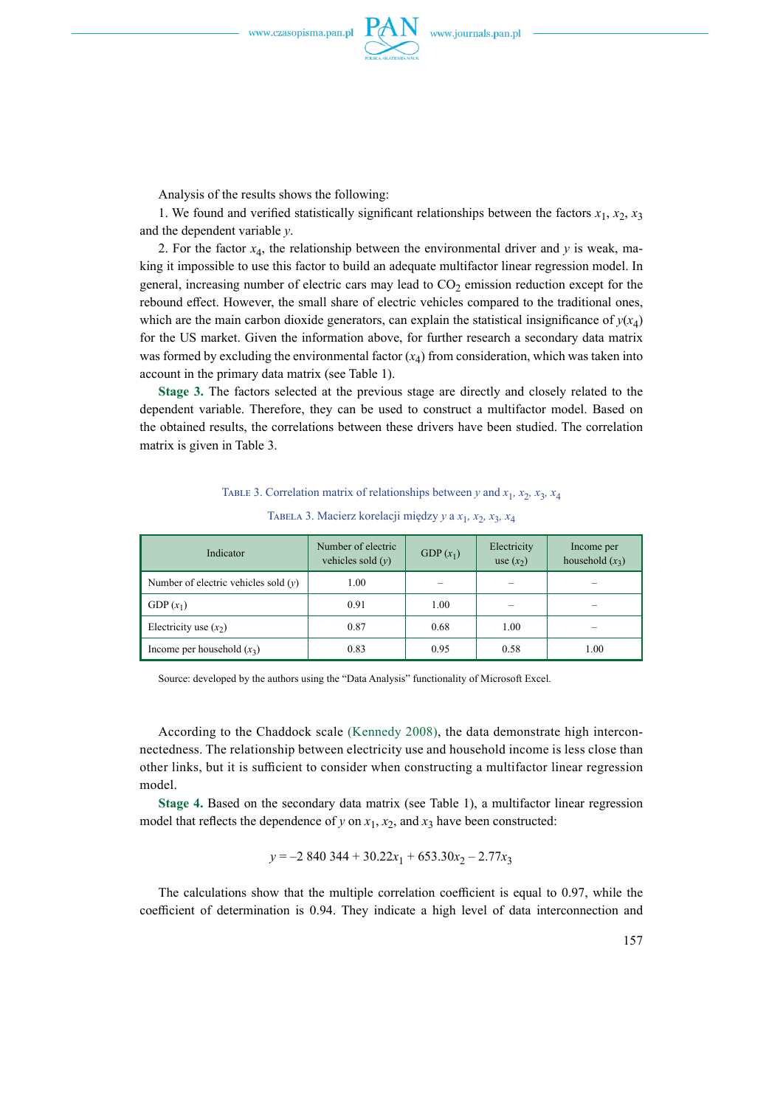

Analysis of the results shows the following:

1. We found and verified statistically significant relationships between the factors  $x_1, x_2, x_3$ and the dependent variable *y*.

2. For the factor  $x_4$ , the relationship between the environmental driver and *y* is weak, making it impossible to use this factor to build an adequate multifactor linear regression model. In general, increasing number of electric cars may lead to  $CO<sub>2</sub>$  emission reduction except for the rebound effect. However, the small share of electric vehicles compared to the traditional ones, which are the main carbon dioxide generators, can explain the statistical insignificance of  $y(x_4)$ for the US market. Given the information above, for further research a secondary data matrix was formed by excluding the environmental factor  $(x_4)$  from consideration, which was taken into account in the primary data matrix (see Table 1).

**Stage 3.** The factors selected at the previous stage are directly and closely related to the dependent variable. Therefore, they can be used to construct a multifactor model. Based on the obtained results, the correlations between these drivers have been studied. The correlation matrix is given in Table 3.

#### TABLE 3. Correlation matrix of relationships between *y* and  $x_1$ ,  $x_2$ ,  $x_3$ ,  $x_4$

| Indicator                              | Number of electric<br>vehicles sold $(v)$ | GDP $(x_1)$ | Electricity<br>use $(x_2)$ | Income per<br>household $(x_3)$ |
|----------------------------------------|-------------------------------------------|-------------|----------------------------|---------------------------------|
| Number of electric vehicles sold $(y)$ | 1.00                                      |             |                            |                                 |
| GDP $(x_1)$                            | 0.91                                      | 1.00        |                            | $\overline{\phantom{a}}$        |
| Electricity use $(x_2)$                | 0.87                                      | 0.68        | 1.00                       | $\overline{\phantom{a}}$        |
| Income per household $(x_3)$           | 0.83                                      | 0.95        | 0.58                       | 1.00                            |

#### Tabela 3. Macierz korelacji między *y* a *x*1*, x*2*, x*3*, x*<sup>4</sup>

Source: developed by the authors using the "Data Analysis" functionality of Microsoft Excel.

According to the Chaddock scale (Kennedy 2008), the data demonstrate high interconnectedness. The relationship between electricity use and household income is less close than other links, but it is sufficient to consider when constructing a multifactor linear regression model.

**Stage 4.** Based on the secondary data matrix (see Table 1), a multifactor linear regression model that reflects the dependence of *y* on  $x_1$ ,  $x_2$ , and  $x_3$  have been constructed:

$$
y = -2840344 + 30.22x_1 + 653.30x_2 - 2.77x_3
$$

The calculations show that the multiple correlation coefficient is equal to 0.97, while the coefficient of determination is 0.94. They indicate a high level of data interconnection and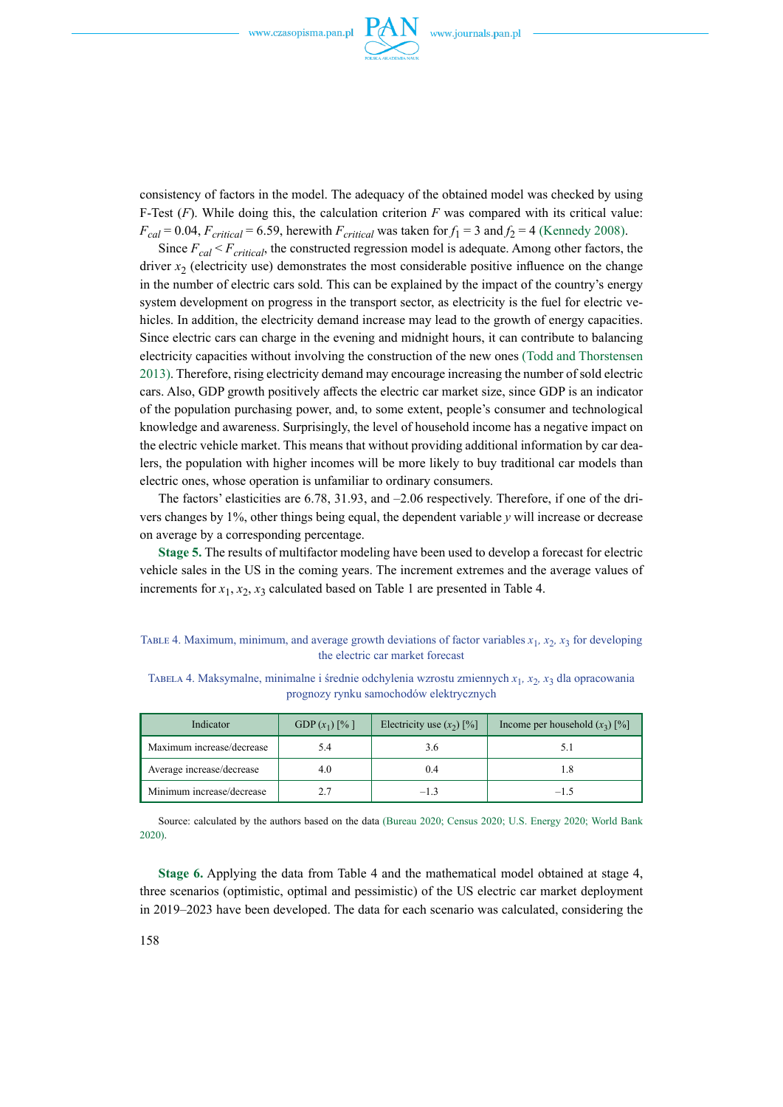

consistency of factors in the model. The adequacy of the obtained model was checked by using F-Test (*F*). While doing this, the calculation criterion *F* was compared with its critical value:  $F_{cal} = 0.04$ ,  $F_{critical} = 6.59$ , herewith  $F_{critical}$  was taken for  $f_1 = 3$  and  $f_2 = 4$  (Kennedy 2008).

Since  $F_{cal} < F_{critical}$ , the constructed regression model is adequate. Among other factors, the driver  $x<sub>2</sub>$  (electricity use) demonstrates the most considerable positive influence on the change in the number of electric cars sold. This can be explained by the impact of the country's energy system development on progress in the transport sector, as electricity is the fuel for electric vehicles. In addition, the electricity demand increase may lead to the growth of energy capacities. Since electric cars can charge in the evening and midnight hours, it can contribute to balancing electricity capacities without involving the construction of the new ones (Todd and Thorstensen 2013). Therefore, rising electricity demand may encourage increasing the number of sold electric cars. Also, GDP growth positively affects the electric car market size, since GDP is an indicator of the population purchasing power, and, to some extent, people's consumer and technological knowledge and awareness. Surprisingly, the level of household income has a negative impact on the electric vehicle market. This means that without providing additional information by car dealers, the population with higher incomes will be more likely to buy traditional car models than electric ones, whose operation is unfamiliar to ordinary consumers.

The factors' elasticities are 6.78, 31.93, and –2.06 respectively. Therefore, if one of the drivers changes by 1%, other things being equal, the dependent variable *y* will increase or decrease on average by a corresponding percentage.

**Stage 5.** The results of multifactor modeling have been used to develop a forecast for electric vehicle sales in the US in the coming years. The increment extremes and the average values of increments for  $x_1, x_2, x_3$  calculated based on Table 1 are presented in Table 4.

Table 4. Maximum, minimum, and average growth deviations of factor variables  $x_1$ ,  $x_2$ ,  $x_3$  for developing the electric car market forecast

| Indicator                 | GDP $(x_1)$ [%] | Electricity use $(x_2)$ [%] | Income per household $(x_3)$ [%] |  |
|---------------------------|-----------------|-----------------------------|----------------------------------|--|
| Maximum increase/decrease | 5.4             | 3.6                         |                                  |  |
| Average increase/decrease | 4.0             | 0.4                         | l.8                              |  |
| Minimum increase/decrease |                 | $-1.3$                      | $-1.5$                           |  |

Tabela 4. Maksymalne, minimalne i średnie odchylenia wzrostu zmiennych *x*1*, x*2*, x*3 dla opracowania prognozy rynku samochodów elektrycznych

Source: calculated by the authors based on the data (Bureau 2020; Census 2020; U.S. Energy 2020; World Bank 2020).

**Stage 6.** Applying the data from Table 4 and the mathematical model obtained at stage 4, three scenarios (optimistic, optimal and pessimistic) of the US electric car market deployment in 2019–2023 have been developed. The data for each scenario was calculated, considering the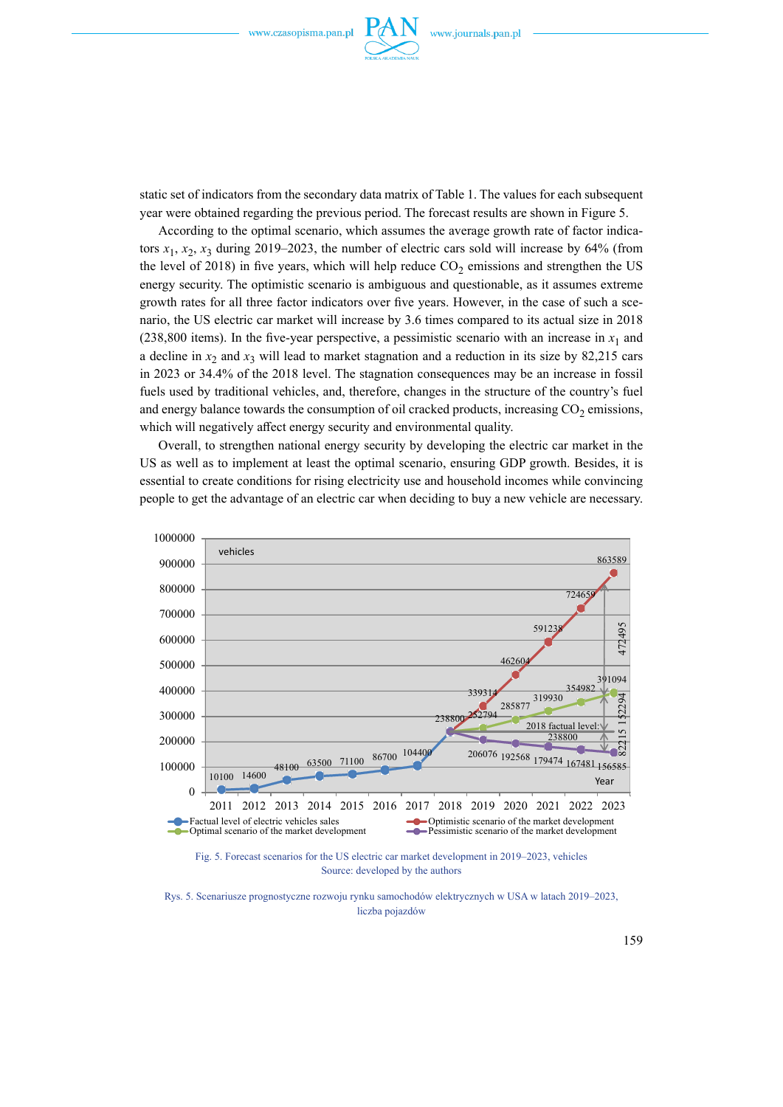

static set of indicators from the secondary data matrix of Table 1. The values for each subsequent year were obtained regarding the previous period. The forecast results are shown in Figure 5.

According to the optimal scenario, which assumes the average growth rate of factor indicators  $x_1, x_2, x_3$  during 2019–2023, the number of electric cars sold will increase by 64% (from the level of 2018) in five years, which will help reduce  $CO<sub>2</sub>$  emissions and strengthen the US energy security. The optimistic scenario is ambiguous and questionable, as it assumes extreme growth rates for all three factor indicators over five years. However, in the case of such a scenario, the US electric car market will increase by 3.6 times compared to its actual size in 2018 (238,800 items). In the five-year perspective, a pessimistic scenario with an increase in  $x_1$  and a decline in  $x_2$  and  $x_3$  will lead to market stagnation and a reduction in its size by 82,215 cars in 2023 or 34.4% of the 2018 level. The stagnation consequences may be an increase in fossil fuels used by traditional vehicles, and, therefore, changes in the structure of the country's fuel and energy balance towards the consumption of oil cracked products, increasing  $CO<sub>2</sub>$  emissions, which will negatively affect energy security and environmental quality.

Overall, to strengthen national energy security by developing the electric car market in the US as well as to implement at least the optimal scenario, ensuring GDP growth. Besides, it is essential to create conditions for rising electricity use and household incomes while convincing people to get the advantage of an electric car when deciding to buy a new vehicle are necessary.



Rys. 5. Scenariusze prognostyczne rozwoju rynku samochodów elektrycznych w USA w latach 2019–2023, liczba pojazdów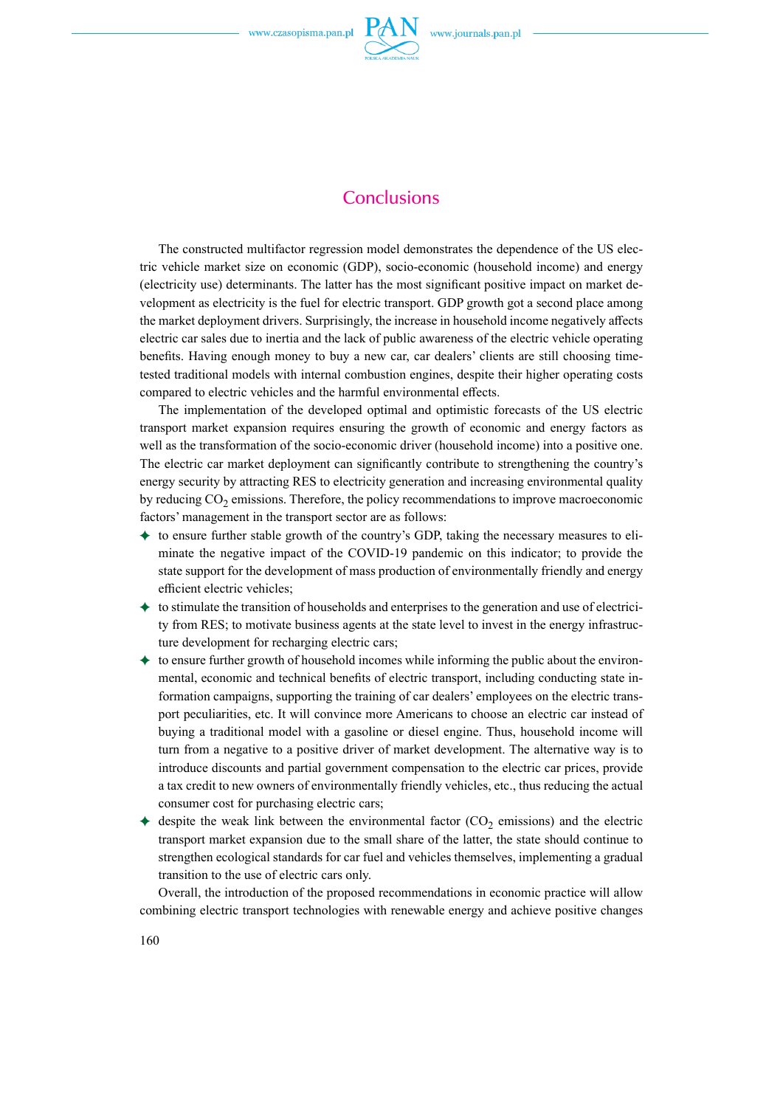

## **Conclusions**

The constructed multifactor regression model demonstrates the dependence of the US electric vehicle market size on economic (GDP), socio-economic (household income) and energy (electricity use) determinants. The latter has the most significant positive impact on market development as electricity is the fuel for electric transport. GDP growth got a second place among the market deployment drivers. Surprisingly, the increase in household income negatively affects electric car sales due to inertia and the lack of public awareness of the electric vehicle operating benefits. Having enough money to buy a new car, car dealers' clients are still choosing timetested traditional models with internal combustion engines, despite their higher operating costs compared to electric vehicles and the harmful environmental effects.

The implementation of the developed optimal and optimistic forecasts of the US electric transport market expansion requires ensuring the growth of economic and energy factors as well as the transformation of the socio-economic driver (household income) into a positive one. The electric car market deployment can significantly contribute to strengthening the country's energy security by attracting RES to electricity generation and increasing environmental quality by reducing  $CO<sub>2</sub>$  emissions. Therefore, the policy recommendations to improve macroeconomic factors' management in the transport sector are as follows:

- $\triangleq$  to ensure further stable growth of the country's GDP, taking the necessary measures to eliminate the negative impact of the COVID-19 pandemic on this indicator; to provide the state support for the development of mass production of environmentally friendly and energy efficient electric vehicles;
- $\triangleq$  to stimulate the transition of households and enterprises to the generation and use of electricity from RES; to motivate business agents at the state level to invest in the energy infrastructure development for recharging electric cars;
- $\triangleq$  to ensure further growth of household incomes while informing the public about the environmental, economic and technical benefits of electric transport, including conducting state information campaigns, supporting the training of car dealers' employees on the electric transport peculiarities, etc. It will convince more Americans to choose an electric car instead of buying a traditional model with a gasoline or diesel engine. Thus, household income will turn from a negative to a positive driver of market development. The alternative way is to introduce discounts and partial government compensation to the electric car prices, provide a tax credit to new owners of environmentally friendly vehicles, etc., thus reducing the actual consumer cost for purchasing electric cars;
- despite the weak link between the environmental factor  $(CO<sub>2</sub>$  emissions) and the electric transport market expansion due to the small share of the latter, the state should continue to strengthen ecological standards for car fuel and vehicles themselves, implementing a gradual transition to the use of electric cars only.

Overall, the introduction of the proposed recommendations in economic practice will allow combining electric transport technologies with renewable energy and achieve positive changes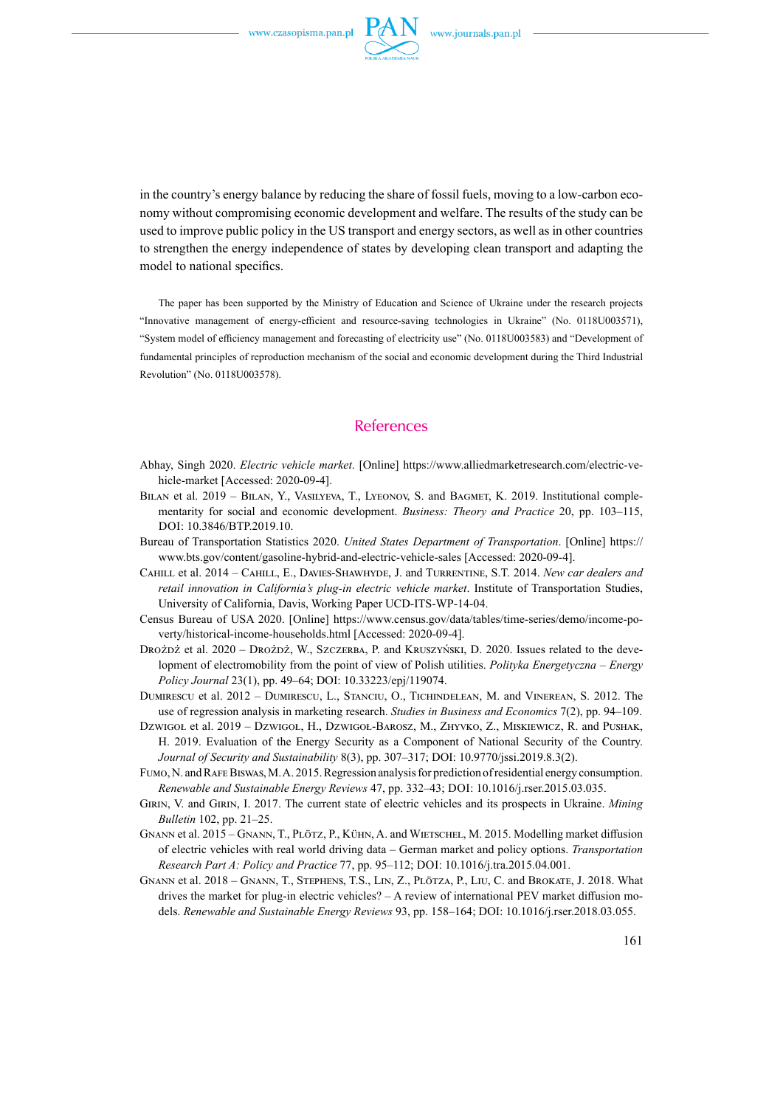

in the country's energy balance by reducing the share of fossil fuels, moving to a low-carbon economy without compromising economic development and welfare. The results of the study can be used to improve public policy in the US transport and energy sectors, as well as in other countries to strengthen the energy independence of states by developing clean transport and adapting the model to national specifics.

The paper has been supported by the Ministry of Education and Science of Ukraine under the research projects "Innovative management of energy-efficient and resource-saving technologies in Ukraine" (No. 0118U003571), "System model of efficiency management and forecasting of electricity use" (No. 0118U003583) and "Development of fundamental principles of reproduction mechanism of the social and economic development during the Third Industrial Revolution" (No. 0118U003578).

### **References**

- Abhay, Singh 2020. *Electric vehicle market*. [Online] [https://www.alliedmarketresearch.com/electric-ve](https://www.alliedmarketresearch.com/electric-vehicle-market)[hicle-market](https://www.alliedmarketresearch.com/electric-vehicle-market) [Accessed: 2020-09-4].
- BILAN et al. 2019 BILAN, Y., VASILYEVA, T., LYEONOV, S. and BAGMET, K. 2019. Institutional complementarity for social and economic development. *Business: Theory and Practice* 20, pp. 103–115, DOI: 10.3846/BTP.2019.10.
- Bureau of Transportation Statistics 2020. *[United States Department of Transportation](http://www.transportation.gov/)*. [Online] [https://](https://www.bts.gov/content/gasoline-hybrid-and-electric-vehicle-sales) [www.bts.gov/content/gasoline-hybrid-and-electric-vehicle-sales](https://www.bts.gov/content/gasoline-hybrid-and-electric-vehicle-sales) [Accessed: 2020-09-4].
- Cahill et al. 2014 Cahill, E., Davies-Shawhyde, J. and Turrentine, S.T. 2014. *New car dealers and retail innovation in California's plug-in electric vehicle market*. Institute of Transportation Studies, University of California, Davis, Working Paper UCD-ITS-WP-14-04.
- Census Bureau of USA 2020. [Online] [https://www.census.gov/data/tables/time-series/demo/income-po](https://www.census.gov/data/tables/time-series/demo/income-poverty/historical-income-households.html)[verty/historical-income-households.html](https://www.census.gov/data/tables/time-series/demo/income-poverty/historical-income-households.html) [Accessed: 2020-09-4].
- Drożdż et al. 2020 Drożdż, W., Szczerba, P. and Kruszyński, D. 2020. Issues related to the development of electromobility from the point of view of Polish utilities. *Polityka Energetyczna – Energy Policy Journal* 23(1), pp. 49–64; DOI: [10.33223/epj/119074.](https://doi.org/10.33223/epj/119074)
- Dumirescu et al. 2012 Dumirescu, L., Stanciu, O., Tichindelean, M. and Vinerean, S. 2012. [The](https://ideas.repec.org/a/blg/journl/v7y2012i2p94-109.html)  [use of regression analysis in marketing research.](https://ideas.repec.org/a/blg/journl/v7y2012i2p94-109.html) *[Studies in Business and Economics](https://ideas.repec.org/s/blg/journl.html)* 7(2), pp. 94–109.
- Dzwigoł et al. 2019 Dzwigoł, H., Dzwigoł-Barosz, M., Zhyvko, Z., Miskiewicz, R. and Pushak, H. 2019. Evaluation of the Energy Security as a Component of National Security of the Country. *Journal of Security and Sustainability* 8(3), pp. 307–317; DOI: [10.9770/jssi.2019.8.3\(2\)](http://doi.org/10.9770/jssi.2019.8.3(2)).
- Fumo, N. and Rafe Biswas, M. A. 2015. Regression analysis for prediction of residential energy consumption. *Renewable and Sustainable Energy Reviews 47, pp. 332-43; DOI: 10.1016/j.rser.2015.03.035.*
- Girin, V. and Girin, I. 2017. The current state of electric vehicles and its prospects in Ukraine. *Mining Bulletin* 102, pp. 21–25.
- Gnann et al. 2015 Gnann, T., Plötz, P., Kühn, A. and Wietschel, M. 2015. Modelling market diffusion of electric vehicles with real world driving data – German market and policy options. *Transportation Research Part A: Policy and Practice [77](https://www.sciencedirect.com/science/journal/09658564/77/supp/C), pp. 95-112; DOI: 10.1016/j.tra.2015.04.001.*
- Gnann et al. 2018 Gnann, T., Stephens, T.S., Lin, Z., Plötza, P., Liu, C. and Brokate, J. 2018. What drives the market for plug-in electric vehicles? – A review of international PEV market diffusion models. *Renewable and Sustainable Energy Reviews* [93,](https://www.sciencedirect.com/science/journal/13640321/93/supp/C) pp. 158–164; DOI: 10.1016/j.rser.2018.03.055.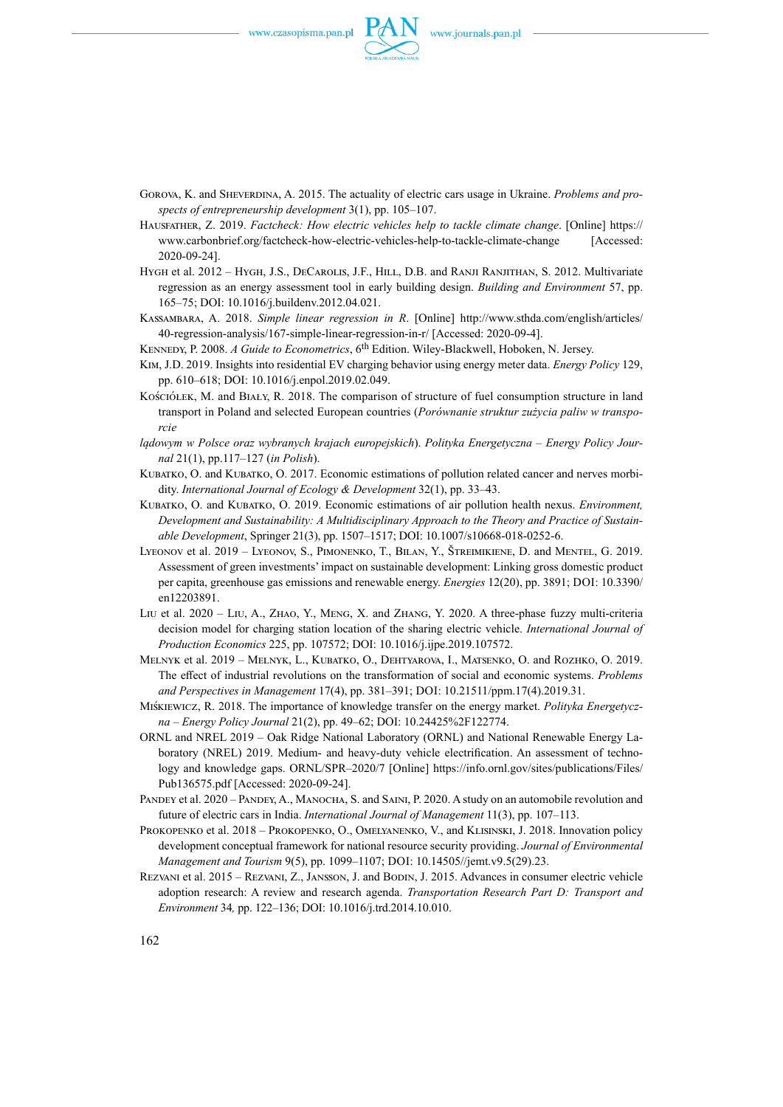

- GOROVA, K. and SHEVERDINA, A. 2015. The actuality of electric cars usage in Ukraine. *Problems and prospects of entrepreneurship development* 3(1), pp. 105–107.
- Hausfather, Z. 2019. *Factcheck: How electric vehicles help to tackle climate change*. [Online] [https://](https://www.carbonbrief.org/factcheck-how-electric-vehicles-help-to-tackle-climate-change) [www.carbonbrief.org/factcheck-how-electric-vehicles-help-to-tackle-climate-change](https://www.carbonbrief.org/factcheck-how-electric-vehicles-help-to-tackle-climate-change) [Accessed: 2020-09-24].
- HYGH et al. 2012 HYGH, J.S., DECAROLIS, J.F., HILL, D.B. and RANJI RANJITHAN, S. 2012. Multivariate regression as an energy assessment tool in early building design. *Building and Environment* 57, pp. 165–75; DOI: 10.1016/j.buildenv.2012.04.021.
- Kassambara, A. 2018. *Simple linear regression in R*. [Online] [http://www.sthda.com/english/articles/](http://www.sthda.com/english/articles/40-regression-analysis/167-simple-linear-regression-in-r/) [40-regression-analysis/167-simple-linear-regression-in-r/](http://www.sthda.com/english/articles/40-regression-analysis/167-simple-linear-regression-in-r/) [Accessed: 2020-09-4].
- Kennedy, [P. 2](https://www.wiley.com/en-us/search?pq=%7Crelevance%7Cauthor%3APeter+Kennedy)008. *A Guide to Econometrics*, 6th Edition. Wiley-Blackwell, Hoboken, N. Jersey.
- Kim, J.D. 2019. Insights into residential EV charging behavior using energy meter data. *Energy Policy* 129, pp. 610–618; DOI: [10.1016/j.enpol.2019.02.049.](https://doi.org/10.1016/j.enpol.2019.02.049)
- KOŚCIÓŁEK, M. and BIAŁY, R. 2018. The comparison of structure of fuel consumption structure in land transport in Poland and selected European countries (*Porównanie struktur zużycia paliw w transporcie*
- *lądowym w Polsce oraz wybranych krajach europejskich*). *Polityka Energetyczna Energy Policy Journal* 21(1), pp.117–127 (*in Polish*).
- KUBATKO, O. and KUBATKO, O. 2017. Economic estimations of pollution related cancer and nerves morbidity. *International Journal of Ecology & Development* 32(1), pp. 33–43.
- Kubatko, O. and Kubatko, O. 2019. Economic estimations of air pollution health nexus. *Environment, Development and Sustainability: A Multidisciplinary Approach to the Theory and Practice of Sustainable Development*, Springer 21(3), pp. 1507–1517; DOI: 10.1007/s10668-018-0252-6.
- Lyeonov et al. 2019 Lyeonov, S., Pimonenko, T., Bilan, Y., Štreimikiene, D. and Mentel, G. 2019. Assessment of green investments' impact on sustainable development: Linking gross domestic product per capita, greenhouse gas emissions and renewable energy. *Energies* 12(20), pp. 3891; DOI: 10.3390/ en12203891.
- Liu et al. 2020 Liu, A., Zhao, Y., Meng, X. and Zhang, Y. 2020. A three-phase fuzzy multi-criteria decision model for charging station location of the sharing electric vehicle. *[International Journal of](https://www.sciencedirect.com/science/journal/09255273)  [Production Economics](https://www.sciencedirect.com/science/journal/09255273)* 225, pp. 107572; DOI: [10.1016/j.ijpe.2019.107572](https://doi.org/10.1016/j.ijpe.2019.107572).
- Melnyk et al. 2019 Melnyk, L., Kubatko, O., Dehtyarova, I., Matsenko, O. and Rozhko, O. 2019. The effect of industrial revolutions on the transformation of social and economic systems. *Problems*  and Perspectives in Management 17(4), pp. 381-391; DOI: 10.21511/ppm.17(4).2019.31.
- Miśkiewicz, R. 2018. The importance of knowledge transfer on the energy market. *Polityka Energetyczna – Energy Policy Journal* 21(2), pp. 49–62; DOI: [10.24425%2F122774](http://dx.doi.org/10.24425%2F122774).
- ORNL and NREL 2019 Oak Ridge National Laboratory (ORNL) and National Renewable Energy Laboratory (NREL) 2019. Medium- and heavy-duty vehicle electrification. An assessment of technology and knowledge gaps. ORNL/SPR–2020/7 [Online] [https://info.ornl.gov/sites/publications/Files/](https://info.ornl.gov/sites/publications/Files/Pub136575.pdf) [Pub136575.pdf](https://info.ornl.gov/sites/publications/Files/Pub136575.pdf) [Accessed: 2020-09-24].
- PANDEY et al. 2020 PANDEY, A., MANOCHA, S. and SAINI, P. 2020. A study on an automobile revolution and future of electric cars in India. *International Journal of Management* 11(3), pp. 107–113.
- Prokopenko et al. 2018 Prokopenko, O., Omelyanenko, V., and Klisinski, J. 2018. Innovation policy development conceptual framework for national resource security providing. *Journal of Environmental Management and Tourism* 9(5), pp. 1099-1107; DOI: 10.14505//jemt.v9.5(29).23.
- Rezvani et al. 2015 Rezvani, Z., Jansson, J. and Bodin, J. 2015. Advances in consumer electric vehicle adoption research: A review and research agenda. *[Transportation Research Part D: Transport and](https://www.sciencedirect.com/science/journal/13619209)  [Environment](https://www.sciencedirect.com/science/journal/13619209)* 34*,* pp. 122–136; DOI: [10.1016/j.trd.2014.10.010](https://doi.org/10.1016/j.trd.2014.10.010).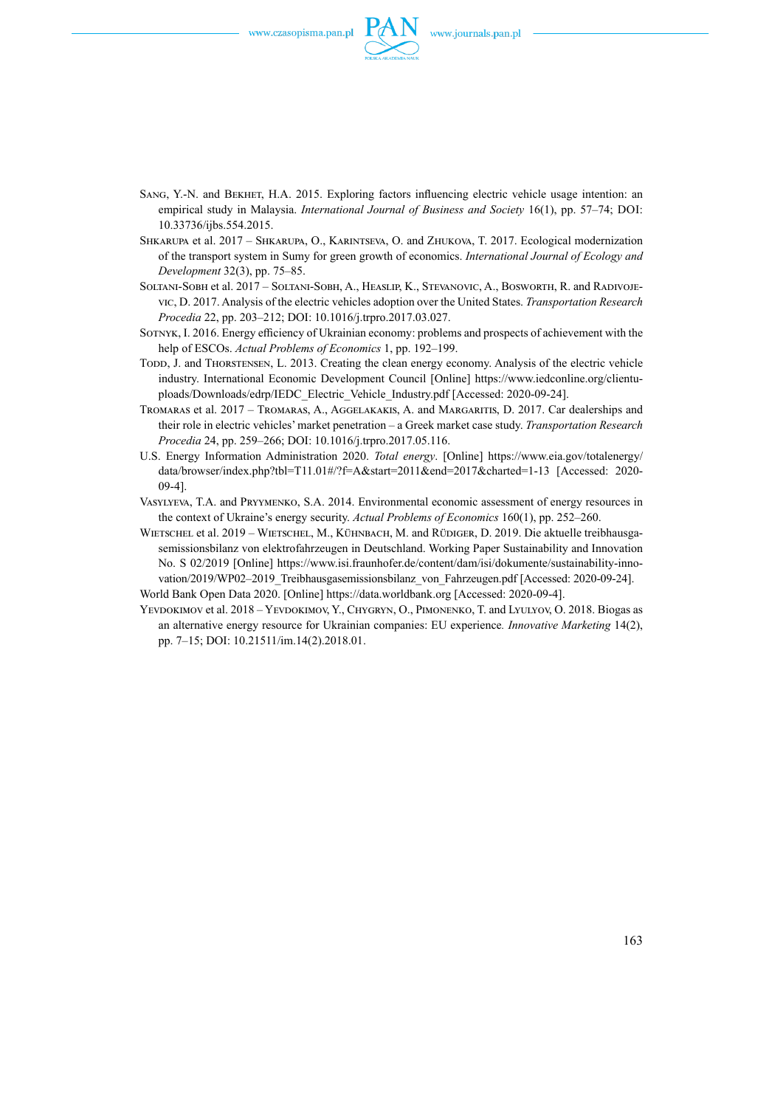

- Sang, Y.-N. and Bekhet, H.A. 2015. Exploring factors influencing electric vehicle usage intention: an empirical study in Malaysia. *International Journal of Business and Society* 16(1), pp. 57–74; DOI: [10.33736/ijbs.554.2015.](https://www.researchgate.net/deref/http%3A%2F%2Fdx.doi.org%2F10.33736%2Fijbs.554.2015?_sg%5B0%5D=AuR6egWmfrnjmLIfQTfFi-68XD__UtFyGJM1dkDmmVik9n-BEvvEFdnd7tE_57aZhJbDmi9nbm9cY81yehsPcMp2vw.ySm6UsWcKhqFGoqmKK6dexNNzr5mVq9pp0HFdhPG0geHTsfQnjws93SHHpXytuxrWMwgM57aMS03FxeJSZSx_w)
- Shkarupa et al. 2017 [Shkarupa, O.](https://www.scopus.com/authid/detail.uri?origin=AuthorProfile&authorId=56951053700&zone=), Karintseva, O. and [Zhukova](https://www.scopus.com/authid/detail.uri?origin=AuthorProfile&authorId=57195066717&zone=), T. 2017. Ecological modernization of the transport system in Sumy for green growth of economics. *[International Journal of Ecology and](https://www.scopus.com/sourceid/17700156220?origin=resultslist)  [Development](https://www.scopus.com/sourceid/17700156220?origin=resultslist)* 32(3), pp. 75–85.
- SOLTANI-SOBH et al.  $2017$  SOLTANI-SOBH, A., HEASLIP, K., STEVANOVIC, A., BOSWORTH, R. and RADIVOJEvic, D. 2017. Analysis of the electric vehicles adoption over the United States. *Transportation Research Procedia* [22](https://www.sciencedirect.com/science/journal/23521465/22/supp/C), pp. 203–212; DOI: [10.1016/j.trpro.2017.03.027.](https://doi.org/10.1016/j.trpro.2017.03.027)
- Sotnyk, I. 2016. Energy efficiency of Ukrainian economy: problems and prospects of achievement with the help of ESCOs. *Actual Problems of Economics* 1, pp. 192–199.
- Todd, J. and Thorstensen, L. 2013. Creating the clean energy economy. Analysis of the electric vehicle industry. International Economic Development Council [Online] https://www.iedconline.org/clientuploads/Downloads/edrp/IEDC\_Electric\_Vehicle\_Industry.pdf [Accessed: 2020-09-24].
- Tromaras et al. 2017 Tromaras, A., Aggelakakis, A. and Margaritis, D. 2017. Car dealerships and their role in electric vehicles' market penetration – a Greek market case study. *[Transportation Research](https://www.sciencedirect.com/science/journal/23521465)  [Procedia](https://www.sciencedirect.com/science/journal/23521465)* 24, pp. 259–266; DOI: 10.1016/j.trpro.2017.05.116.
- U.S. Energy Information Administration 2020. *Total energy*. [Online] https://www.eia.gov/totalenergy/ data/browser/index.php?tbl=T11.01#/?f=A&start=2011&end=2017&charted=1-13 [Accessed: 2020- 09-4].
- Vasylyeva, T.A. and Pryymenko, S.A. 2014. Environmental economic assessment of energy resources in the context of Ukraine's energy security. *Actual Problems of Economics* 160(1), pp. 252–260.
- WIETSCHEL et al. 2019 WIETSCHEL, M., KÜHNBACH, M. and RÜDIGER, D. 2019. Die aktuelle treibhausgasemissionsbilanz von elektrofahrzeugen in Deutschland. Working Paper Sustainability and Innovation No. S 02/2019 [Online] [https://www.isi.fraunhofer.de/content/dam/isi/dokumente/sustainability-inno](https://www.isi.fraunhofer.de/content/dam/isi/dokumente/sustainability-innovation/2019/WP02-2019_Treibhausgasemissionsbilanz_von_Fahrzeugen.pdf)vation/2019/WP02-2019 Treibhausgasemissionsbilanz von Fahrzeugen.pdf [Accessed: 2020-09-24]. World Bank Open Data 2020. [Online]<https://data.worldbank.org> [Accessed: 2020-09-4].
- YEVDOKIMOV et al. 2018 YEVDOKIMOV, Y., CHYGRYN, O., PIMONENKO, T. and LYULYOV, O. 2018. Biogas as an alternative energy resource for Ukrainian companies: EU experience*. Innovative Marketing* 14(2), pp. 7–15; DOI: 10.21511/im.14(2).2018.01.